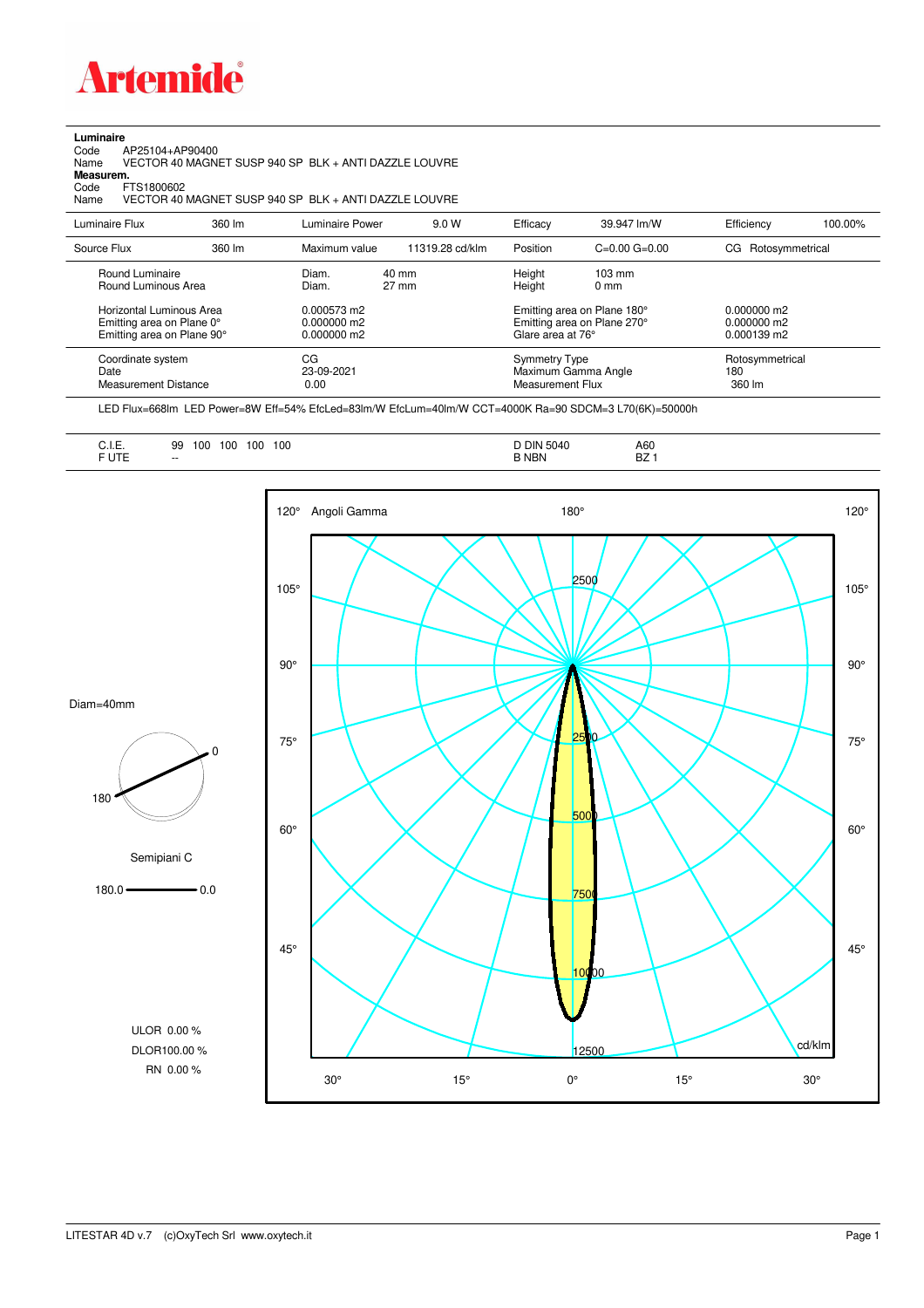

## **Luminaire**<br>Code /<br>Name

Code AP25104+AP90400 Name VECTOR 40 MAGNET SUSP 940 SP BLK + ANTI DAZZLE LOUVRE **Measurem.**

Code FTS1800602<br>Name VECTOR 40 Name VECTOR 40 MAGNET SUSP 940 SP BLK + ANTI DAZZLE LOUVRE

| Luminaire Flux                                                     | 360 lm | Luminaire Power                | 9.0 W                    | Efficacy                          | 39.947 lm/W                                                                           | Efficiency                       | 100.00% |
|--------------------------------------------------------------------|--------|--------------------------------|--------------------------|-----------------------------------|---------------------------------------------------------------------------------------|----------------------------------|---------|
| Source Flux                                                        | 360 lm | Maximum value                  | 11319.28 cd/klm          | Position                          | $C=0.00$ $G=0.00$                                                                     | CG Rotosymmetrical               |         |
| Round Luminaire<br>Round Luminous Area<br>Horizontal Luminous Area |        | Diam.<br>Diam.<br>0.000573 m2  | 40 mm<br>$27 \text{ mm}$ |                                   | Height<br>$103 \text{ mm}$<br>Height<br>$0 \text{ mm}$<br>Emitting area on Plane 180° |                                  |         |
| Emitting area on Plane 0°<br>Emitting area on Plane 90°            |        | $0.000000$ m2<br>$0.000000$ m2 |                          | Glare area at 76°                 | Emitting area on Plane 270°                                                           | $0.000000$ m2<br>$0.000139$ m2   |         |
| Coordinate system<br>Date<br><b>Measurement Distance</b>           |        | CG<br>23-09-2021<br>0.00       |                          | Symmetry Type<br>Measurement Flux | Maximum Gamma Angle                                                                   | Rotosymmetrical<br>180<br>360 lm |         |

LED Flux=668lm LED Power=8W Eff=54% EfcLed=83lm/W EfcLum=40lm/W CCT=4000K Ra=90 SDCM=3 L70(6K)=50000h

| $\overline{1}$<br>◡…<br>$-1.7-$ | 100<br>100<br>100<br>100<br>99 | 5010         | A60<br>D7 |
|---------------------------------|--------------------------------|--------------|-----------|
| ______                          | $- -$                          | <b>B NBN</b> | DZ.       |